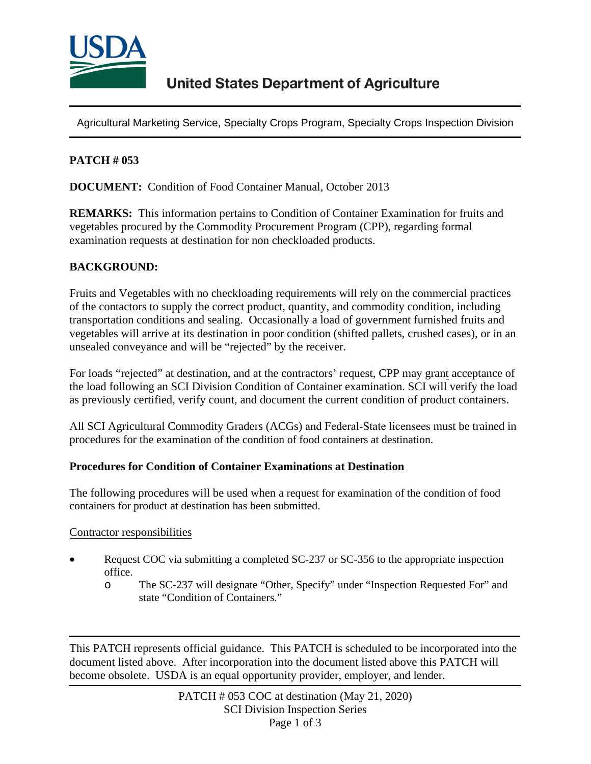

Agricultural Marketing Service, Specialty Crops Program, Specialty Crops Inspection Division

## **PATCH # 053**

**DOCUMENT:** Condition of Food Container Manual, October 2013

**REMARKS:** This information pertains to Condition of Container Examination for fruits and vegetables procured by the Commodity Procurement Program (CPP), regarding formal examination requests at destination for non checkloaded products.

### **BACKGROUND:**

Fruits and Vegetables with no checkloading requirements will rely on the commercial practices of the contactors to supply the correct product, quantity, and commodity condition, including transportation conditions and sealing. Occasionally a load of government furnished fruits and vegetables will arrive at its destination in poor condition (shifted pallets, crushed cases), or in an unsealed conveyance and will be "rejected" by the receiver.

For loads "rejected" at destination, and at the contractors' request, CPP may grant acceptance of the load following an SCI Division Condition of Container examination. SCI will verify the load as previously certified, verify count, and document the current condition of product containers.

All SCI Agricultural Commodity Graders (ACGs) and Federal-State licensees must be trained in procedures for the examination of the condition of food containers at destination.

#### **Procedures for Condition of Container Examinations at Destination**

The following procedures will be used when a request for examination of the condition of food containers for product at destination has been submitted.

#### Contractor responsibilities

- Request COC via submitting a completed SC-237 or SC-356 to the appropriate inspection office.
	- o The SC-237 will designate "Other, Specify" under "Inspection Requested For" and state "Condition of Containers."

This PATCH represents official guidance. This PATCH is scheduled to be incorporated into the document listed above. After incorporation into the document listed above this PATCH will become obsolete. USDA is an equal opportunity provider, employer, and lender.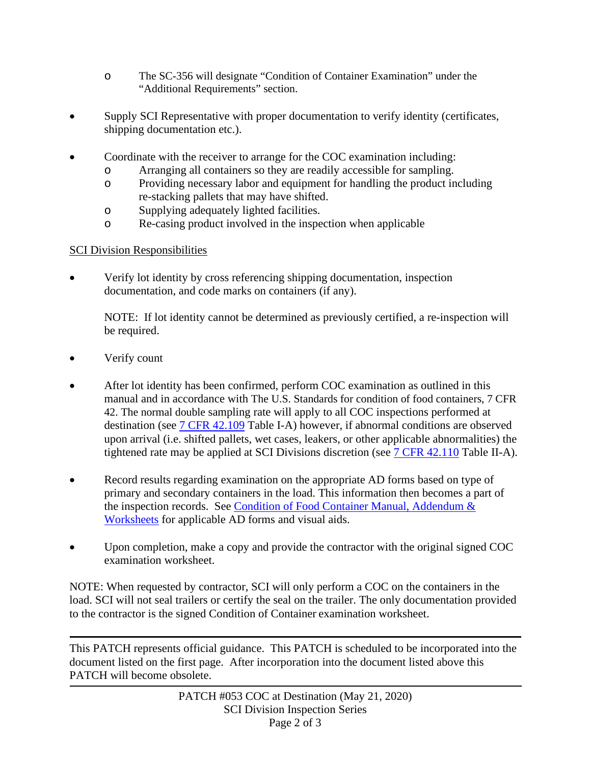- o The SC-356 will designate "Condition of Container Examination" under the "Additional Requirements" section.
- Supply SCI Representative with proper documentation to verify identity (certificates, shipping documentation etc.).
- Coordinate with the receiver to arrange for the COC examination including:
	- o Arranging all containers so they are readily accessible for sampling.
	- o Providing necessary labor and equipment for handling the product including re-stacking pallets that may have shifted.
	- o Supplying adequately lighted facilities.
	- o Re-casing product involved in the inspection when applicable

# SCI Division Responsibilities

• Verify lot identity by cross referencing shipping documentation, inspection documentation, and code marks on containers (if any).

NOTE: If lot identity cannot be determined as previously certified, a re-inspection will be required.

- Verify count
- After lot identity has been confirmed, perform COC examination as outlined in this manual and in accordance with The U.S. Standards for condition of food containers, 7 CFR 42. The normal double sampling rate will apply to all COC inspections performed at destination (see [7 CFR 42.109](https://www.govinfo.gov/content/pkg/CFR-2020-title7-vol2/pdf/CFR-2020-title7-vol2-sec42-109.pdf) Table I-A) however, if abnormal conditions are observed upon arrival (i.e. shifted pallets, wet cases, leakers, or other applicable abnormalities) the tightened rate may be applied at SCI Divisions discretion (see [7 CFR 42.110](https://www.govinfo.gov/content/pkg/CFR-2020-title7-vol2/pdf/CFR-2020-title7-vol2-sec42-110.pdf) Table II-A).
- Record results regarding examination on the appropriate AD forms based on type of primary and secondary containers in the load. This information then becomes a part of the inspection records. See [Condition of Food Container Manual, Addendum &](https://www.ams.usda.gov/publications/content/condition-food-container-manual-addendum-worksheets)  [Worksheets](https://www.ams.usda.gov/publications/content/condition-food-container-manual-addendum-worksheets) for applicable AD forms and visual aids.
- Upon completion, make a copy and provide the contractor with the original signed COC examination worksheet.

NOTE: When requested by contractor, SCI will only perform a COC on the containers in the load. SCI will not seal trailers or certify the seal on the trailer. The only documentation provided to the contractor is the signed Condition of Container examination worksheet.

This PATCH represents official guidance. This PATCH is scheduled to be incorporated into the document listed on the first page. After incorporation into the document listed above this PATCH will become obsolete.